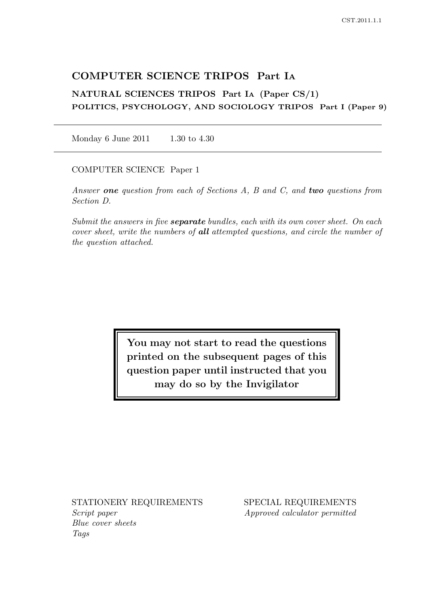# COMPUTER SCIENCE TRIPOS Part I<sup>A</sup>

NATURAL SCIENCES TRIPOS Part I<sup>A</sup> (Paper CS/1) POLITICS, PSYCHOLOGY, AND SOCIOLOGY TRIPOS Part I (Paper 9)

Monday 6 June 2011 1.30 to 4.30

COMPUTER SCIENCE Paper 1

Answer one question from each of Sections A, B and C, and two questions from Section D.

Submit the answers in five **separate** bundles, each with its own cover sheet. On each cover sheet, write the numbers of all attempted questions, and circle the number of the question attached.

> You may not start to read the questions printed on the subsequent pages of this question paper until instructed that you may do so by the Invigilator

Script paper Approved calculator permitted Blue cover sheets Tags

STATIONERY REQUIREMENTS SPECIAL REQUIREMENTS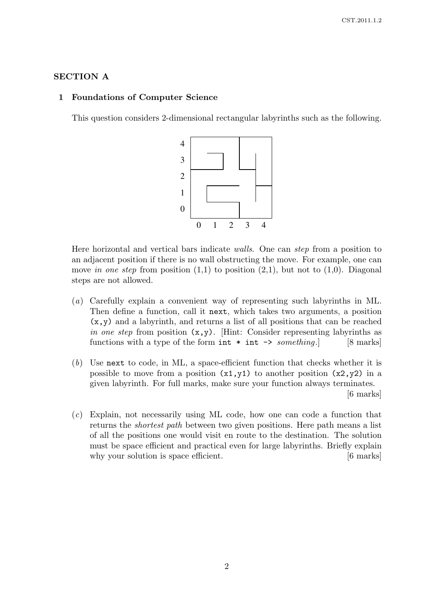### SECTION A

#### 1 Foundations of Computer Science

This question considers 2-dimensional rectangular labyrinths such as the following.



Here horizontal and vertical bars indicate walls. One can step from a position to an adjacent position if there is no wall obstructing the move. For example, one can move in one step from position  $(1,1)$  to position  $(2,1)$ , but not to  $(1,0)$ . Diagonal steps are not allowed.

- (a) Carefully explain a convenient way of representing such labyrinths in ML. Then define a function, call it next, which takes two arguments, a position  $(x,y)$  and a labyrinth, and returns a list of all positions that can be reached in one step from position  $(x,y)$ . [Hint: Consider representing labyrinths as functions with a type of the form  $int * int \rightarrow something.$  [8 marks]
- (b) Use next to code, in ML, a space-efficient function that checks whether it is possible to move from a position  $(x1,y1)$  to another position  $(x2,y2)$  in a given labyrinth. For full marks, make sure your function always terminates. [6 marks]
- (c) Explain, not necessarily using ML code, how one can code a function that returns the shortest path between two given positions. Here path means a list of all the positions one would visit en route to the destination. The solution must be space efficient and practical even for large labyrinths. Briefly explain why your solution is space efficient. [6 marks]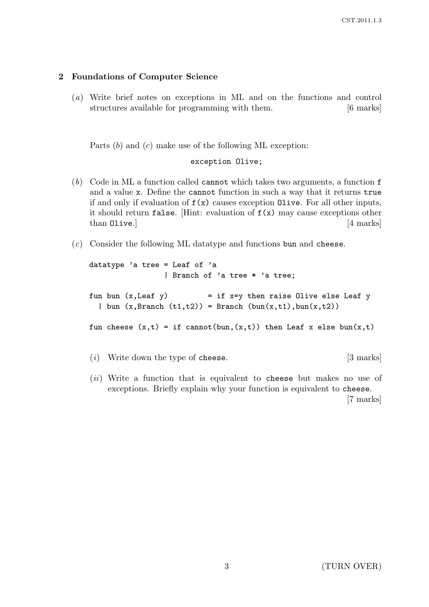# 2 Foundations of Computer Science

(a) Write brief notes on exceptions in ML and on the functions and control structures available for programming with them. [6 marks]

Parts  $(b)$  and  $(c)$  make use of the following ML exception:

exception Olive;

- (b) Code in ML a function called cannot which takes two arguments, a function f and a value x. Define the cannot function in such a way that it returns true if and only if evaluation of  $f(x)$  causes exception Olive. For all other inputs, it should return false. [Hint: evaluation of  $f(x)$  may cause exceptions other than Olive.] [4 marks]
- (c) Consider the following ML datatype and functions bun and cheese.

```
datatype 'a tree = Leaf of 'a
                | Branch of 'a tree * 'a tree;
fun bun (x, \text{Leaf } y) = if x=y then raise Olive else Leaf y
  | bun (x, Branch(t1,t2)) = Branch (bun(x,t1),bun(x,t2))fun cheese (x,t) = if cannot(bun,(x,t)) then Leaf x else bun(x,t)(i) Write down the type of cheese. [3 marks]
```
(*ii*) Write a function that is equivalent to cheese but makes no use of exceptions. Briefly explain why your function is equivalent to cheese.

[7 marks]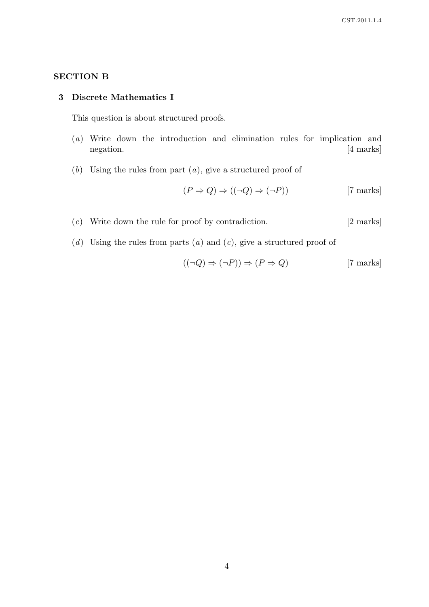# SECTION B

### 3 Discrete Mathematics I

This question is about structured proofs.

- (a) Write down the introduction and elimination rules for implication and negation. [4 marks]
- $(b)$  Using the rules from part  $(a)$ , give a structured proof of

$$
(P \Rightarrow Q) \Rightarrow ((\neg Q) \Rightarrow (\neg P)) \qquad [7 \text{ marks}]
$$

- (c) Write down the rule for proof by contradiction. [2 marks]
- (d) Using the rules from parts (a) and (c), give a structured proof of

$$
((\neg Q) \Rightarrow (\neg P)) \Rightarrow (P \Rightarrow Q) \tag{7 marks}
$$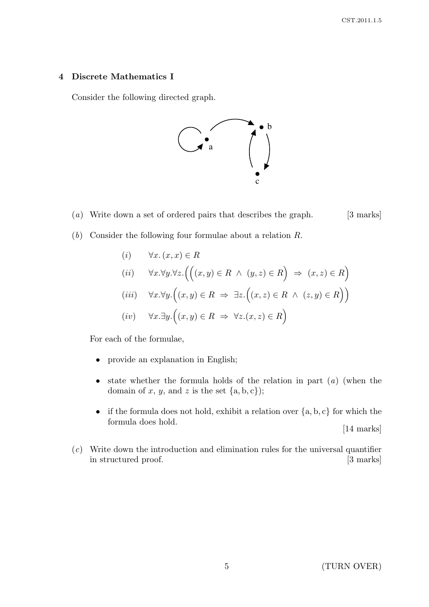## 4 Discrete Mathematics I

Consider the following directed graph.



(a) Write down a set of ordered pairs that describes the graph.  $[3 \text{ marks}]$ 

- (b) Consider the following four formulae about a relation R.
	- (i)  $\forall x. (x, x) \in R$ (ii)  $\forall x. \forall y. \forall z. ((x, y) \in R \land (y, z) \in R) \Rightarrow (x, z) \in R)$ (iii)  $\forall x.\forall y. ((x,y) \in R \Rightarrow \exists z. ((x,z) \in R \land (z,y) \in R))$

$$
(iv) \quad \forall x. \exists y. ((x, y) \in R \implies \forall z. (x, z) \in R)
$$

For each of the formulae,

- provide an explanation in English;
- state whether the formula holds of the relation in part  $(a)$  (when the domain of x, y, and z is the set  $\{a, b, c\}$ ;
- if the formula does not hold, exhibit a relation over  ${a, b, c}$  for which the formula does hold. [14 marks]
- (c) Write down the introduction and elimination rules for the universal quantifier in structured proof. [3 marks]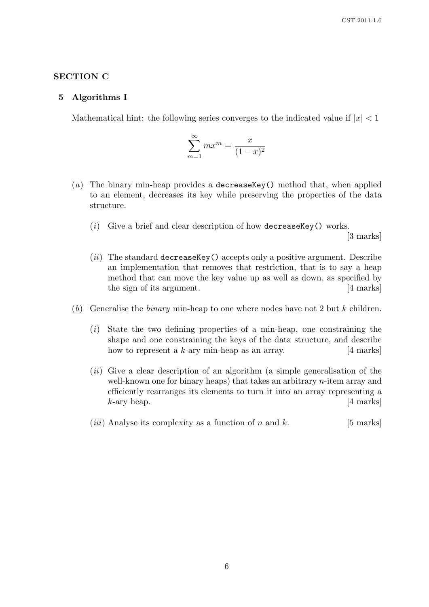## SECTION C

#### 5 Algorithms I

Mathematical hint: the following series converges to the indicated value if  $|x| < 1$ 

$$
\sum_{m=1}^{\infty} mx^m = \frac{x}{(1-x)^2}
$$

- (a) The binary min-heap provides a decrease  $Key()$  method that, when applied to an element, decreases its key while preserving the properties of the data structure.
	- (i) Give a brief and clear description of how decreaseKey() works.

[3 marks]

- $(ii)$  The standard decreaseKey() accepts only a positive argument. Describe an implementation that removes that restriction, that is to say a heap method that can move the key value up as well as down, as specified by the sign of its argument. [4 marks]
- (b) Generalise the *binary* min-heap to one where nodes have not 2 but k children.
	- (i) State the two defining properties of a min-heap, one constraining the shape and one constraining the keys of the data structure, and describe how to represent a  $k$ -ary min-heap as an array.  $[4 \text{ marks}]$
	- $(ii)$  Give a clear description of an algorithm (a simple generalisation of the well-known one for binary heaps) that takes an arbitrary n-item array and efficiently rearranges its elements to turn it into an array representing a  $k$ -ary heap.  $[4 \text{ marks}]$
	- (*iii*) Analyse its complexity as a function of n and k. [5 marks]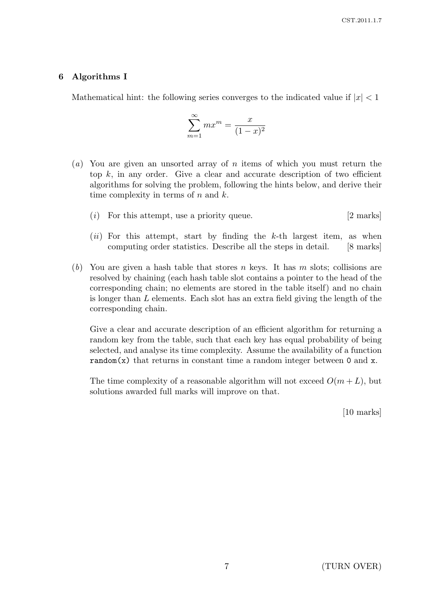## 6 Algorithms I

Mathematical hint: the following series converges to the indicated value if  $|x| < 1$ 

$$
\sum_{m=1}^{\infty} mx^m = \frac{x}{(1-x)^2}
$$

- (a) You are given an unsorted array of n items of which you must return the top  $k$ , in any order. Give a clear and accurate description of two efficient algorithms for solving the problem, following the hints below, and derive their time complexity in terms of  $n$  and  $k$ .
	- (i) For this attempt, use a priority queue.  $[2 \text{ marks}]$
	- $(ii)$  For this attempt, start by finding the k-th largest item, as when computing order statistics. Describe all the steps in detail. [8 marks]
- (b) You are given a hash table that stores n keys. It has m slots; collisions are resolved by chaining (each hash table slot contains a pointer to the head of the corresponding chain; no elements are stored in the table itself) and no chain is longer than L elements. Each slot has an extra field giving the length of the corresponding chain.

Give a clear and accurate description of an efficient algorithm for returning a random key from the table, such that each key has equal probability of being selected, and analyse its time complexity. Assume the availability of a function random(x) that returns in constant time a random integer between  $0$  and  $x$ .

The time complexity of a reasonable algorithm will not exceed  $O(m+L)$ , but solutions awarded full marks will improve on that.

[10 marks]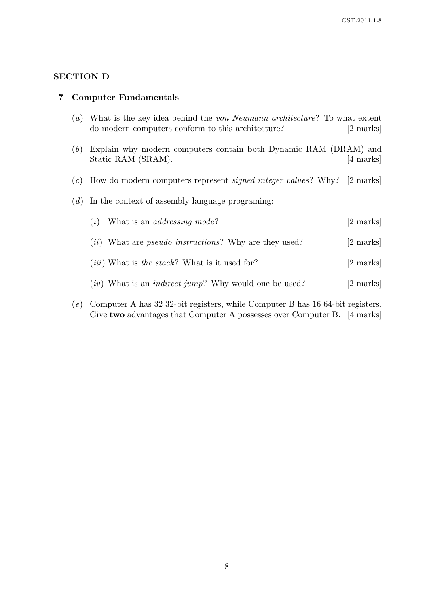# SECTION D

#### 7 Computer Fundamentals

- (a) What is the key idea behind the von Neumann architecture? To what extent do modern computers conform to this architecture? [2 marks]
- (b) Explain why modern computers contain both Dynamic RAM (DRAM) and Static RAM (SRAM). [4 marks]
- (c) How do modern computers represent signed integer values? Why? [2 marks]
- $(d)$  In the context of assembly language programing:

| $(i)$ What is an <i>addressing mode</i> ?                              | [2 marks] |
|------------------------------------------------------------------------|-----------|
| ( <i>ii</i> ) What are <i>pseudo instructions</i> ? Why are they used? | [2 marks] |
| $(iii)$ What is the stack? What is it used for?                        | [2 marks] |
| (iv) What is an <i>indirect jump</i> ? Why would one be used?          | [2 marks] |
|                                                                        |           |

(e) Computer A has 32 32-bit registers, while Computer B has 16 64-bit registers. Give two advantages that Computer A possesses over Computer B. [4 marks]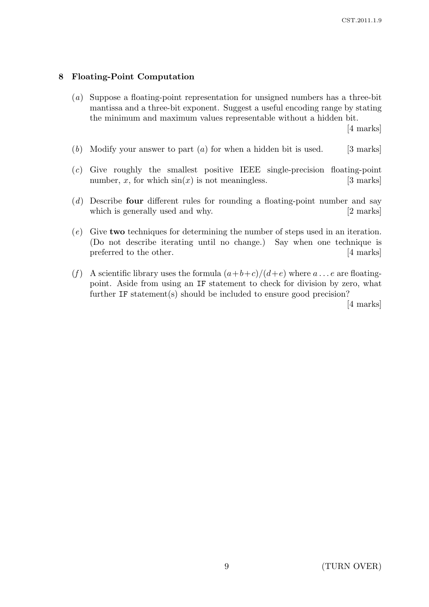### 8 Floating-Point Computation

(a) Suppose a floating-point representation for unsigned numbers has a three-bit mantissa and a three-bit exponent. Suggest a useful encoding range by stating the minimum and maximum values representable without a hidden bit.

[4 marks]

- (b) Modify your answer to part  $(a)$  for when a hidden bit is used. [3 marks]
- (c) Give roughly the smallest positive IEEE single-precision floating-point number, x, for which  $sin(x)$  is not meaningless. [3 marks]
- (d) Describe four different rules for rounding a floating-point number and say which is generally used and why. [2 marks]
- (e) Give two techniques for determining the number of steps used in an iteration. (Do not describe iterating until no change.) Say when one technique is preferred to the other. [4 marks]
- (f) A scientific library uses the formula  $(a+b+c)/(d+e)$  where  $a \dots e$  are floatingpoint. Aside from using an IF statement to check for division by zero, what further IF statement(s) should be included to ensure good precision?

[4 marks]